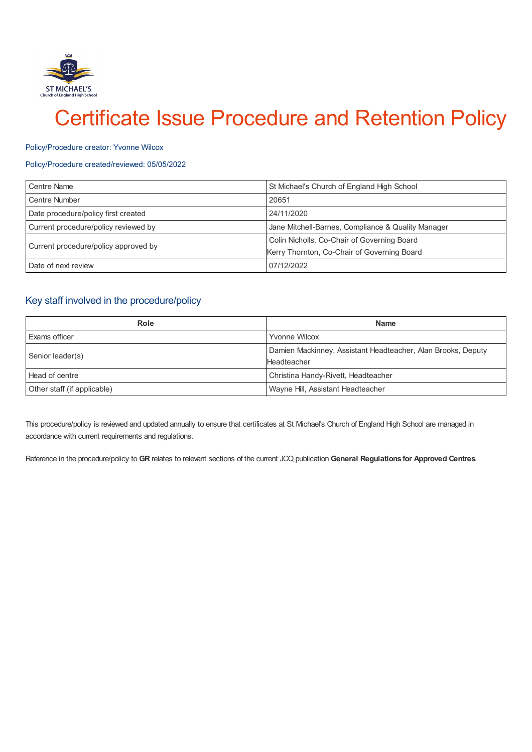

# Certificate Issue Procedure and Retention Policy

#### Policy/Procedure creator: Yvonne Wilcox

## Policy/Procedure created/reviewed: 05/05/2022

| <b>Centre Name</b>                   | St Michael's Church of England High School         |
|--------------------------------------|----------------------------------------------------|
| Centre Number                        | 20651                                              |
| Date procedure/policy first created  | 24/11/2020                                         |
| Current procedure/policy reviewed by | Jane Mitchell-Barnes, Compliance & Quality Manager |
| Current procedure/policy approved by | Colin Nicholls, Co-Chair of Governing Board        |
|                                      | Kerry Thornton, Co-Chair of Governing Board        |
| Date of next review                  | 07/12/2022                                         |

# Key staff involved in the procedure/policy

| Role                        | <b>Name</b>                                                                 |
|-----------------------------|-----------------------------------------------------------------------------|
| Exams officer               | <b>Yvonne Wilcox</b>                                                        |
| Senior leader(s)            | Damien Mackinney, Assistant Headteacher, Alan Brooks, Deputy<br>Headteacher |
| Head of centre              | Christina Handy-Rivett, Headteacher                                         |
| Other staff (if applicable) | Wayne Hill, Assistant Headteacher                                           |

This procedure/policy is reviewed and updated annually to ensure that certificates at St Michael's Church of England High School are managed in accordance with current requirements and regulations.

Reference in the procedure/policy to **GR** relates to relevant sections of the current JCQ publication **General Regulations for Approved Centres**.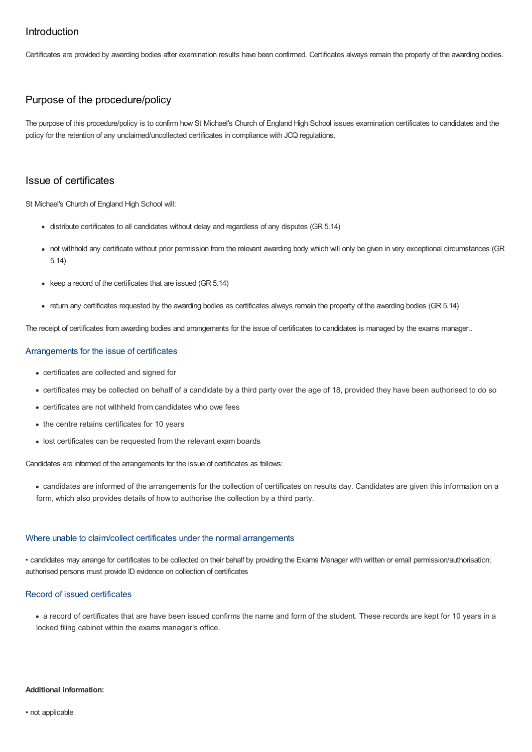# Introduction

Certificates are provided by awarding bodies after examination results have been confirmed. Certificates always remain the property of the awarding bodies.

# Purpose of the procedure/policy

The purpose of this procedure/policy is to confirm how St Michael's Church of England High School issues examination certificates to candidates and the policy for the retention of any unclaimed/uncollected certificates in compliance with JCQ regulations.

# Issue of certificates

St Michael's Church of England High School will:

- distribute certificates to all candidates without delay and regardless of any disputes (GR 5.14)
- not withhold any certificate without prior permission from the relevant awarding body which will only be given in very exceptional circumstances (GR 5.14)
- $\bullet$  keep a record of the certificates that are issued (GR 5.14)
- return any certificates requested by the awarding bodies as certificates always remain the property of the awarding bodies (GR 5.14)

The receipt of certificates from awarding bodies and arrangements for the issue of certificates to candidates is managed by the exams manager..

## Arrangements for the issue of certificates

- certificates are collected and signed for
- certificates may be collected on behalf of a candidate by a third party over the age of 18, provided they have been authorised to do so
- certificates are not withheld from candidates who owe fees
- the centre retains certificates for 10 years
- lost certificates can be requested from the relevant exam boards

Candidates are informed of the arrangements for the issue of certificates as follows:

candidates are informed of the arrangements for the collection of certificates on results day. Candidates are given this information on a form, which also provides details of how to authorise the collection by a third party.

#### Where unable to claim/collect certificates under the normal arrangements

• candidates may arrange for certificates to be collected on their behalf by providing the Exams Manager with written or email permission/authorisation; authorised persons must provide ID evidence on collection of certificates

## Record of issued certificates

a record of certificates that are have been issued confirms the name and form of the student. These records are kept for 10 years in a locked filing cabinet within the exams manager's office.

### **Additional information:**